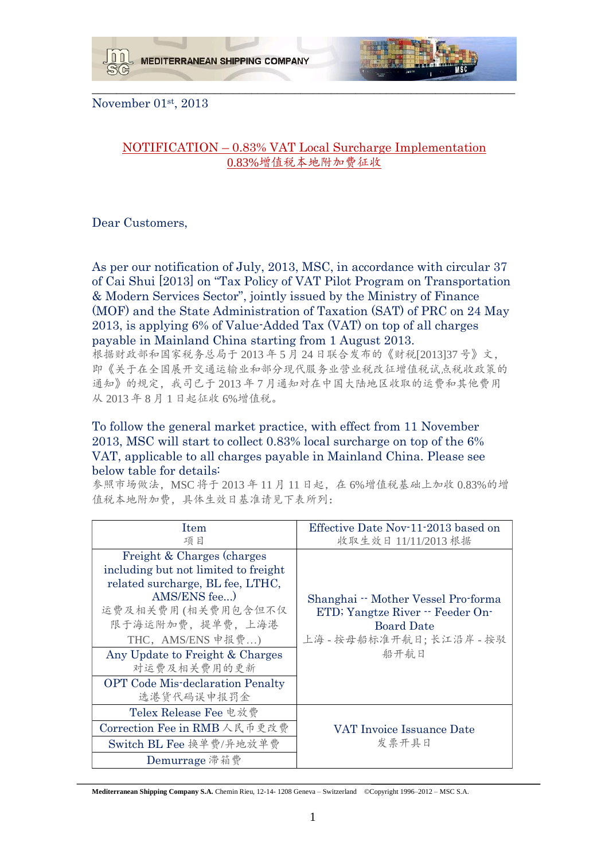



November 01st, 2013

## NOTIFICATION – 0.83% VAT Local Surcharge Implementation 0.83%增值税本地附加费征收

\_\_\_\_\_\_\_\_\_\_\_\_\_\_\_\_\_\_\_\_\_\_\_\_\_\_\_\_\_\_\_\_\_\_\_\_\_\_\_\_\_\_\_\_\_\_\_\_\_\_\_\_\_\_\_\_\_\_\_\_\_\_\_\_\_\_\_\_\_

Dear Customers,

As per our notification of July, 2013, MSC, in accordance with circular 37 of Cai Shui [2013] on "Tax Policy of VAT Pilot Program on Transportation & Modern Services Sector", jointly issued by the Ministry of Finance (MOF) and the State Administration of Taxation (SAT) of PRC on 24 May 2013, is applying 6% of Value-Added Tax (VAT) on top of all charges payable in Mainland China starting from 1 August 2013.

根据财政部和国家税务总局于 2013 年 5 月 24 日联合发布的《财税[2013]37 号》文, 即《关于在全国展开交通运输业和部分现代服务业营业税改征增值税试点税收政策的 通知》的规定,我司已于 2013 年 7 月通知对在中国大陆地区收取的运费和其他费用 从 2013 年 8 月 1 日起征收 6%增值税。

## To follow the general market practice, with effect from 11 November 2013, MSC will start to collect 0.83% local surcharge on top of the 6% VAT, applicable to all charges payable in Mainland China. Please see below table for details:

参照市场做法, MSC 将于 2013 年 11 月 11 日起, 在 6%增值税基础上加收 0.83%的增 值税本地附加费,具体生效日基准请见下表所列:

| Item<br>项目                                                                                                                                                                                                                                                                                        | Effective Date Nov-11-2013 based on<br>收取生效日 11/11/2013 根据                                                                     |
|---------------------------------------------------------------------------------------------------------------------------------------------------------------------------------------------------------------------------------------------------------------------------------------------------|--------------------------------------------------------------------------------------------------------------------------------|
| Freight & Charges (charges)<br>including but not limited to freight<br>related surcharge, BL fee, LTHC,<br>AMS/ENS fee)<br>运费及相关费用(相关费用包含但不仅<br>限于海运附加费, 提单费, 上海港<br>THC, AMS/ENS 申报费)<br>Any Update to Freight & Charges<br>对运费及相关费用的更新<br><b>OPT</b> Code Mis-declaration Penalty<br>选港货代码误申报罚金 | Shanghai - Mother Vessel Pro-forma<br>ETD; Yangtze River -- Feeder On-<br><b>Board Date</b><br>上海 - 按母船标准开航日;长江沿岸 - 按驳<br>船开航日 |
| Telex Release Fee 电放费<br>Correction Fee in RMB 人民币更改费                                                                                                                                                                                                                                             | VAT Invoice Issuance Date                                                                                                      |
| Switch BL Fee 换单费/异地放单费                                                                                                                                                                                                                                                                           | 发票开具日                                                                                                                          |
| Demurrage 滞箱费                                                                                                                                                                                                                                                                                     |                                                                                                                                |

**Mediterranean Shipping Company S.A.** Chemin Rieu, 12-14- 1208 Geneva – Switzerland ©Copyright 1996–2012 – MSC S.A.